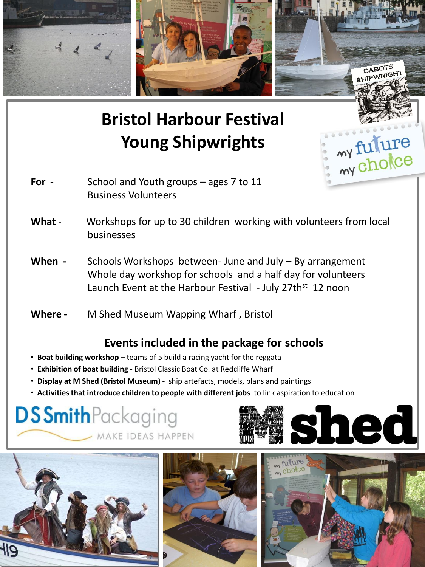

# **Bristol Harbour Festival Young Shipwrights**

- **For** School and Youth groups ages 7 to 11 Business Volunteers
- **What**  Workshops for up to 30 children working with volunteers from local businesses
- **When -** Schools Workshops between- June and July By arrangement Whole day workshop for schools and a half day for volunteers Launch Event at the Harbour Festival - July 27th<sup>st</sup> 12 noon
- **Where -** M Shed Museum Wapping Wharf , Bristol

### **Events included in the package for schools**

- **Boat building workshop** teams of 5 build a racing yacht for the reggata
- **Exhibition of boat building -** Bristol Classic Boat Co. at Redcliffe Wharf
- • **Display at M Shed (Bristol Museum)** ship artefacts, models, plans and paintings
- • **Activities that introduce children to people with different jobs** to link aspiration to education

## **DSSmith**Packaging MAKE IDEAS HAPPEN





my fulure